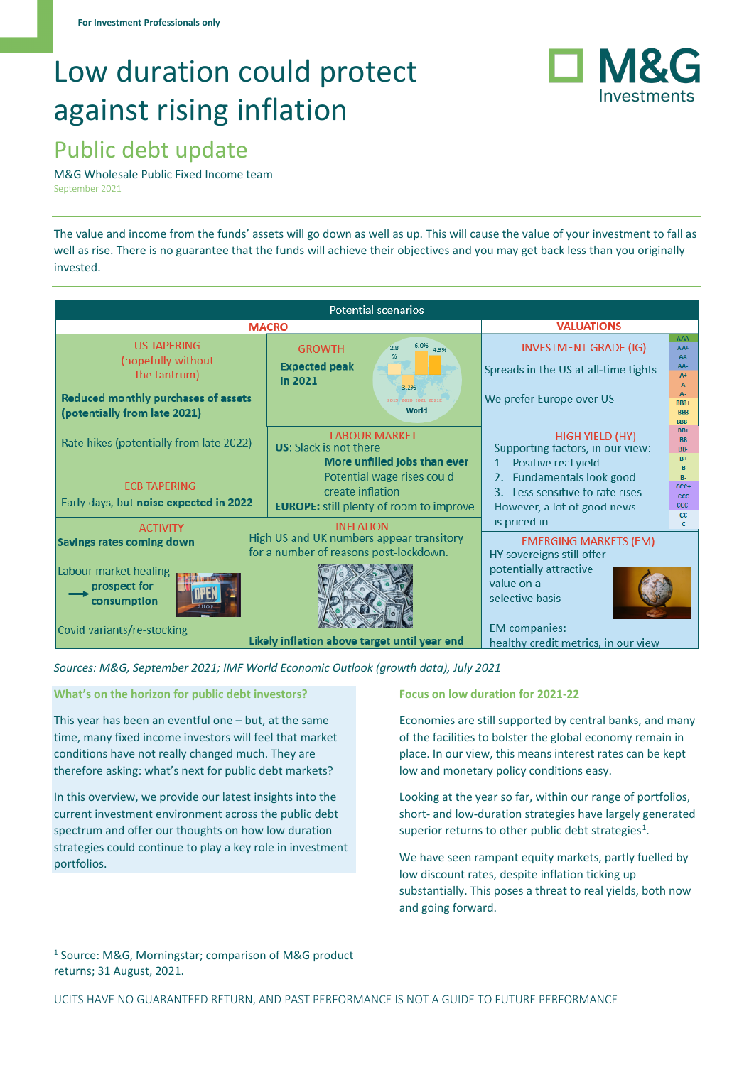# Low duration could protect against rising inflation



# Public debt update

M&G Wholesale Public Fixed Income team September 2021

The value and income from the funds' assets will go down as well as up. This will cause the value of your investment to fall as well as rise. There is no guarantee that the funds will achieve their objectives and you may get back less than you originally invested.

|                                                                                                                                        |                                                                                                                                                          | <b>Potential scenarios</b>                                                                                                                                                                                                         |  |  |  |  |  |  |
|----------------------------------------------------------------------------------------------------------------------------------------|----------------------------------------------------------------------------------------------------------------------------------------------------------|------------------------------------------------------------------------------------------------------------------------------------------------------------------------------------------------------------------------------------|--|--|--|--|--|--|
|                                                                                                                                        | <b>VALUATIONS</b>                                                                                                                                        |                                                                                                                                                                                                                                    |  |  |  |  |  |  |
| <b>US TAPERING</b><br>(hopefully without<br>the tantrum)<br><b>Reduced monthly purchases of assets</b><br>(potentially from late 2021) | 6.0%<br><b>GROWTH</b><br>2.8<br>4.9%<br><b>Expected peak</b><br>in 2021<br>$-3.2%$<br>2019 2020 2021 2022E<br>World                                      | AAA<br><b>INVESTMENT GRADE (IG)</b><br>$AA+$<br>AA<br>AA-<br>Spreads in the US at all-time tights<br>$A+$<br>We prefer Europe over US<br>BBB+<br><b>BBB</b><br>BBB-                                                                |  |  |  |  |  |  |
| Rate hikes (potentially from late 2022)<br><b>ECB TAPERING</b><br>Early days, but noise expected in 2022                               | <b>LABOUR MARKET</b><br><b>US:</b> Slack is not there<br>More unfilled jobs than ever<br>Potential wage rises could<br>create inflation                  | $BB+$<br><b>HIGH YIELD (HY)</b><br><b>BB</b><br>Supporting factors, in our view:<br>BB-<br>$B+$<br>1. Positive real yield<br>2. Fundamentals look good<br>$R-$<br>$CCC +$<br>3. Less sensitive to rate rises<br><b>CCC</b><br>CCC- |  |  |  |  |  |  |
| <b>ACTIVITY</b><br>Savings rates coming down                                                                                           | <b>EUROPE:</b> still plenty of room to improve<br><b>INFLATION</b><br>High US and UK numbers appear transitory<br>for a number of reasons post-lockdown. | However, a lot of good news<br><sub>cc</sub><br>is priced in<br>c<br><b>EMERGING MARKETS (EM)</b><br>HY sovereigns still offer                                                                                                     |  |  |  |  |  |  |
| Labour market healing<br>prospect for<br>consumption<br>Covid variants/re-stocking                                                     | Likely inflation above target until year end                                                                                                             | potentially attractive<br>value on a<br>selective basis<br><b>EM</b> companies:<br>healthy credit metrics, in our view                                                                                                             |  |  |  |  |  |  |

*Sources: M&G, September 2021; IMF World Economic Outlook (growth data), July 2021* 

**What's on the horizon for public debt investors?**

This year has been an eventful one – but, at the same time, many fixed income investors will feel that market conditions have not really changed much. They are therefore asking: what's next for public debt markets?

In this overview, we provide our latest insights into the current investment environment across the public debt spectrum and offer our thoughts on how low duration strategies could continue to play a key role in investment portfolios.

## **Focus on low duration for 2021-22**

Economies are still supported by central banks, and many of the facilities to bolster the global economy remain in place. In our view, this means interest rates can be kept low and monetary policy conditions easy.

Looking at the year so far, within our range of portfolios, short- and low-duration strategies have largely generated superior returns to other public debt strategies<sup>[1](#page-0-0)</sup>.

We have seen rampant equity markets, partly fuelled by low discount rates, despite inflation ticking up substantially. This poses a threat to real yields, both now and going forward.

<span id="page-0-0"></span><sup>1</sup> Source: M&G, Morningstar; comparison of M&G product returns; 31 August, 2021.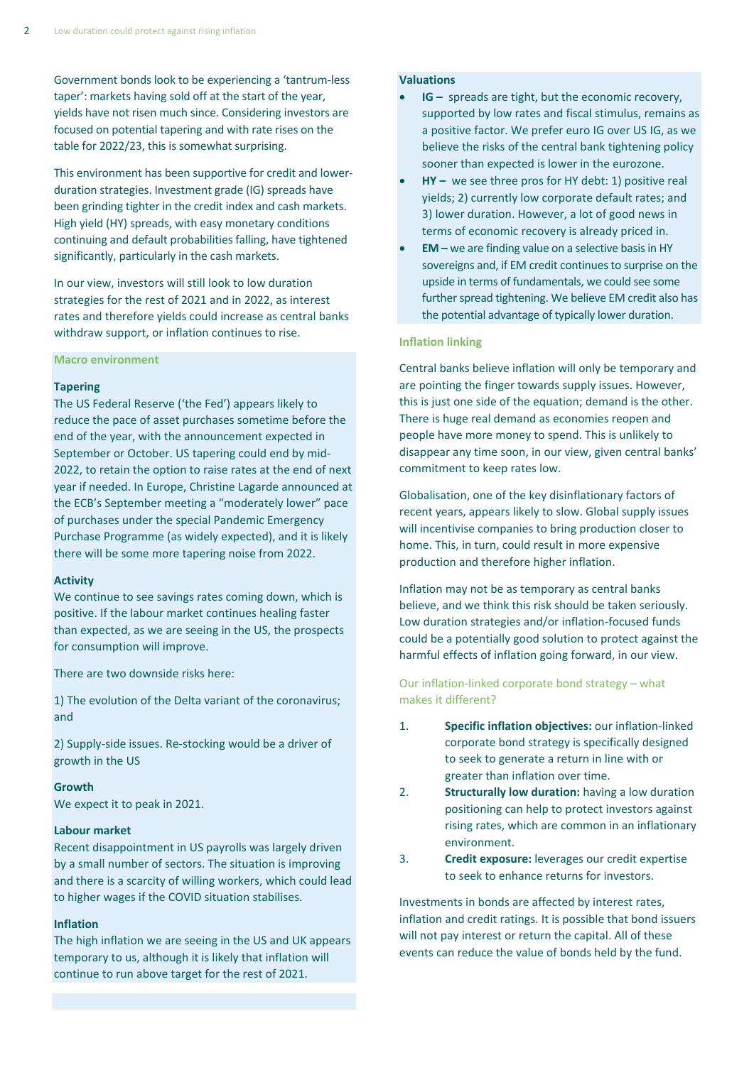Government bonds look to be experiencing a 'tantrum-less taper': markets having sold off at the start of the year, yields have not risen much since. Considering investors are focused on potential tapering and with rate rises on the table for 2022/23, this is somewhat surprising.

This environment has been supportive for credit and lowerduration strategies. Investment grade (IG) spreads have been grinding tighter in the credit index and cash markets. High yield (HY) spreads, with easy monetary conditions continuing and default probabilities falling, have tightened significantly, particularly in the cash markets.

In our view, investors will still look to low duration strategies for the rest of 2021 and in 2022, as interest rates and therefore yields could increase as central banks withdraw support, or inflation continues to rise.

#### **Macro environment**

#### **Tapering**

The US Federal Reserve ('the Fed') appears likely to reduce the pace of asset purchases sometime before the end of the year, with the announcement expected in September or October. US tapering could end by mid-2022, to retain the option to raise rates at the end of next year if needed. In Europe, Christine Lagarde announced at the ECB's September meeting a "moderately lower" pace of purchases under the special Pandemic Emergency Purchase Programme (as widely expected), and it is likely there will be some more tapering noise from 2022.

#### **Activity**

We continue to see savings rates coming down, which is positive. If the labour market continues healing faster than expected, as we are seeing in the US, the prospects for consumption will improve.

There are two downside risks here:

1) The evolution of the Delta variant of the coronavirus; and

2) Supply-side issues. Re-stocking would be a driver of growth in the US

#### **Growth**

We expect it to peak in 2021.

#### **Labour market**

Recent disappointment in US payrolls was largely driven by a small number of sectors. The situation is improving and there is a scarcity of willing workers, which could lead to higher wages if the COVID situation stabilises.

#### **Inflation**

The high inflation we are seeing in the US and UK appears temporary to us, although it is likely that inflation will continue to run above target for the rest of 2021.

#### **Valuations**

- **IG** spreads are tight, but the economic recovery, supported by low rates and fiscal stimulus, remains as a positive factor. We prefer euro IG over US IG, as we believe the risks of the central bank tightening policy sooner than expected is lower in the eurozone.
- **HY –** we see three pros for HY debt: 1) positive real yields; 2) currently low corporate default rates; and 3) lower duration. However, a lot of good news in terms of economic recovery is already priced in.
- **EM –** we are finding value on a selective basis in HY sovereigns and, if EM credit continues to surprise on the upside in terms of fundamentals, we could see some further spread tightening. We believe EM credit also has the potential advantage of typically lower duration.

#### **Inflation linking**

Central banks believe inflation will only be temporary and are pointing the finger towards supply issues. However, this is just one side of the equation; demand is the other. There is huge real demand as economies reopen and people have more money to spend. This is unlikely to disappear any time soon, in our view, given central banks' commitment to keep rates low.

Globalisation, one of the key disinflationary factors of recent years, appears likely to slow. Global supply issues will incentivise companies to bring production closer to home. This, in turn, could result in more expensive production and therefore higher inflation.

Inflation may not be as temporary as central banks believe, and we think this risk should be taken seriously. Low duration strategies and/or inflation-focused funds could be a potentially good solution to protect against the harmful effects of inflation going forward, in our view.

Our inflation-linked corporate bond strategy – what makes it different?

- 1. **Specific inflation objectives:** our inflation-linked corporate bond strategy is specifically designed to seek to generate a return in line with or greater than inflation over time.
- 2. **Structurally low duration:** having a low duration positioning can help to protect investors against rising rates, which are common in an inflationary environment.
- 3. **Credit exposure:** leverages our credit expertise to seek to enhance returns for investors.

Investments in bonds are affected by interest rates, inflation and credit ratings. It is possible that bond issuers will not pay interest or return the capital. All of these events can reduce the value of bonds held by the fund.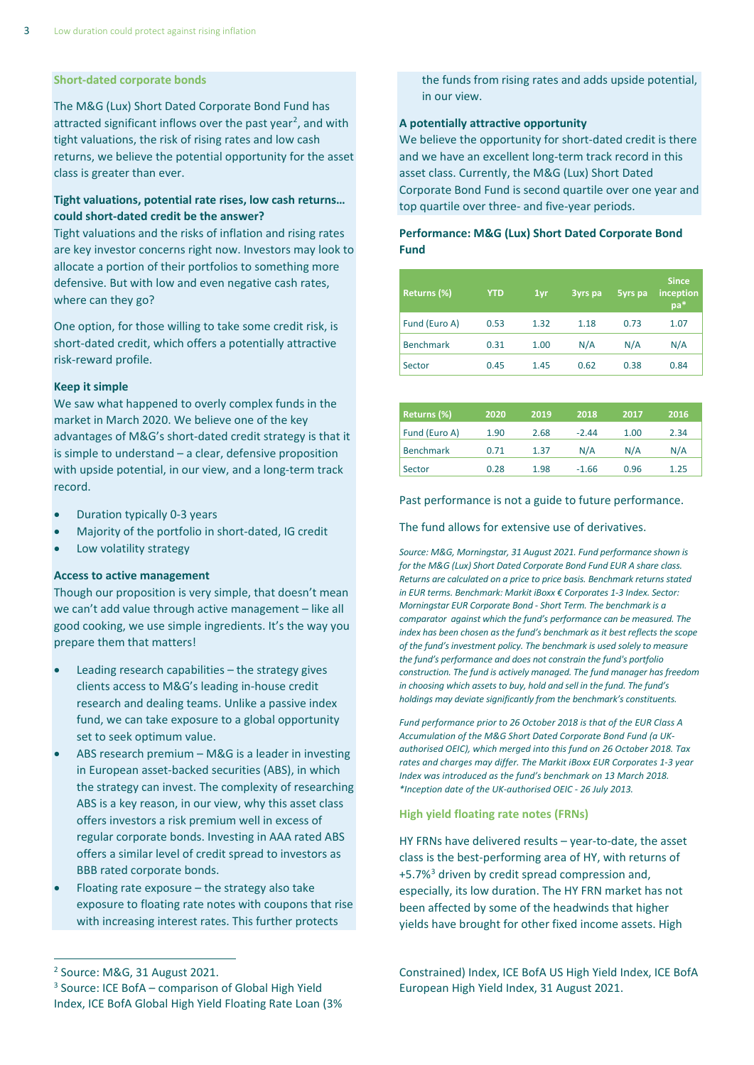#### **Short-dated corporate bonds**

The M&G (Lux) Short Dated Corporate Bond Fund has attracted significant inflows over the past year<sup>[2](#page-2-0)</sup>, and with tight valuations, the risk of rising rates and low cash returns, we believe the potential opportunity for the asset class is greater than ever.

# **Tight valuations, potential rate rises, low cash returns… could short-dated credit be the answer?**

Tight valuations and the risks of inflation and rising rates are key investor concerns right now. Investors may look to allocate a portion of their portfolios to something more defensive. But with low and even negative cash rates, where can they go?

One option, for those willing to take some credit risk, is short-dated credit, which offers a potentially attractive risk-reward profile.

#### **Keep it simple**

We saw what happened to overly complex funds in the market in March 2020. We believe one of the key advantages of M&G's short-dated credit strategy is that it is simple to understand – a clear, defensive proposition with upside potential, in our view, and a long-term track record.

- Duration typically 0-3 years
- Majority of the portfolio in short-dated, IG credit
- Low volatility strategy

#### **Access to active management**

Though our proposition is very simple, that doesn't mean we can't add value through active management – like all good cooking, we use simple ingredients. It's the way you prepare them that matters!

- Leading research capabilities the strategy gives clients access to M&G's leading in-house credit research and dealing teams. Unlike a passive index fund, we can take exposure to a global opportunity set to seek optimum value.
- ABS research premium M&G is a leader in investing in European asset-backed securities (ABS), in which the strategy can invest. The complexity of researching ABS is a key reason, in our view, why this asset class offers investors a risk premium well in excess of regular corporate bonds. Investing in AAA rated ABS offers a similar level of credit spread to investors as BBB rated corporate bonds.
- Floating rate exposure  $-$  the strategy also take exposure to floating rate notes with coupons that rise with increasing interest rates. This further protects

#### **A potentially attractive opportunity**

We believe the opportunity for short-dated credit is there and we have an excellent long-term track record in this asset class. Currently, the M&G (Lux) Short Dated Corporate Bond Fund is second quartile over one year and top quartile over three- and five-year periods.

# **Performance: M&G (Lux) Short Dated Corporate Bond Fund**

| Returns (%)      | <b>YTD</b> | 1 <sub>vr</sub> | 3yrs pa | 5yrs pa | <b>Since</b><br>inception<br>pa* |
|------------------|------------|-----------------|---------|---------|----------------------------------|
| Fund (Euro A)    | 0.53       | 1.32            | 1.18    | 0.73    | 1.07                             |
| <b>Benchmark</b> | 0.31       | 1.00            | N/A     | N/A     | N/A                              |
| Sector           | 0.45       | 1.45            | 0.62    | 0.38    | 0.84                             |

| Returns (%)      | 2020 | 2019 | 2018    | 2017 | 2016 |
|------------------|------|------|---------|------|------|
| Fund (Euro A)    | 1.90 | 2.68 | $-2.44$ | 1.00 | 2.34 |
| <b>Benchmark</b> | 0.71 | 1.37 | N/A     | N/A  | N/A  |
| Sector           | 0.28 | 1.98 | $-1.66$ | 0.96 | 1.25 |

#### Past performance is not a guide to future performance.

#### The fund allows for extensive use of derivatives.

*Source: M&G, Morningstar, 31 August 2021. Fund performance shown is for the M&G (Lux) Short Dated Corporate Bond Fund EUR A share class. Returns are calculated on a price to price basis. Benchmark returns stated in EUR terms. Benchmark: Markit iBoxx € Corporates 1-3 Index. Sector: Morningstar EUR Corporate Bond - Short Term. The benchmark is a comparator against which the fund's performance can be measured. The index has been chosen as the fund's benchmark as it best reflects the scope of the fund's investment policy. The benchmark is used solely to measure the fund's performance and does not constrain the fund's portfolio construction. The fund is actively managed. The fund manager has freedom in choosing which assets to buy, hold and sell in the fund. The fund's holdings may deviate significantly from the benchmark's constituents.*

*Fund performance prior to 26 October 2018 is that of the EUR Class A Accumulation of the M&G Short Dated Corporate Bond Fund (a UKauthorised OEIC), which merged into this fund on 26 October 2018. Tax rates and charges may differ. The Markit iBoxx EUR Corporates 1-3 year Index was introduced as the fund's benchmark on 13 March 2018. \*Inception date of the UK-authorised OEIC - 26 July 2013.*

#### **High yield floating rate notes (FRNs)**

HY FRNs have delivered results – year-to-date, the asset class is the best-performing area of HY, with returns of +5.7%[3](#page-2-1) driven by credit spread compression and, especially, its low duration. The HY FRN market has not been affected by some of the headwinds that higher yields have brought for other fixed income assets. High

Constrained) Index, ICE BofA US High Yield Index, ICE BofA European High Yield Index, 31 August 2021.

the funds from rising rates and adds upside potential, in our view.

<span id="page-2-1"></span><span id="page-2-0"></span><sup>2</sup> Source: M&G, 31 August 2021. <sup>3</sup> Source: ICE BofA – comparison of Global High Yield Index, ICE BofA Global High Yield Floating Rate Loan (3%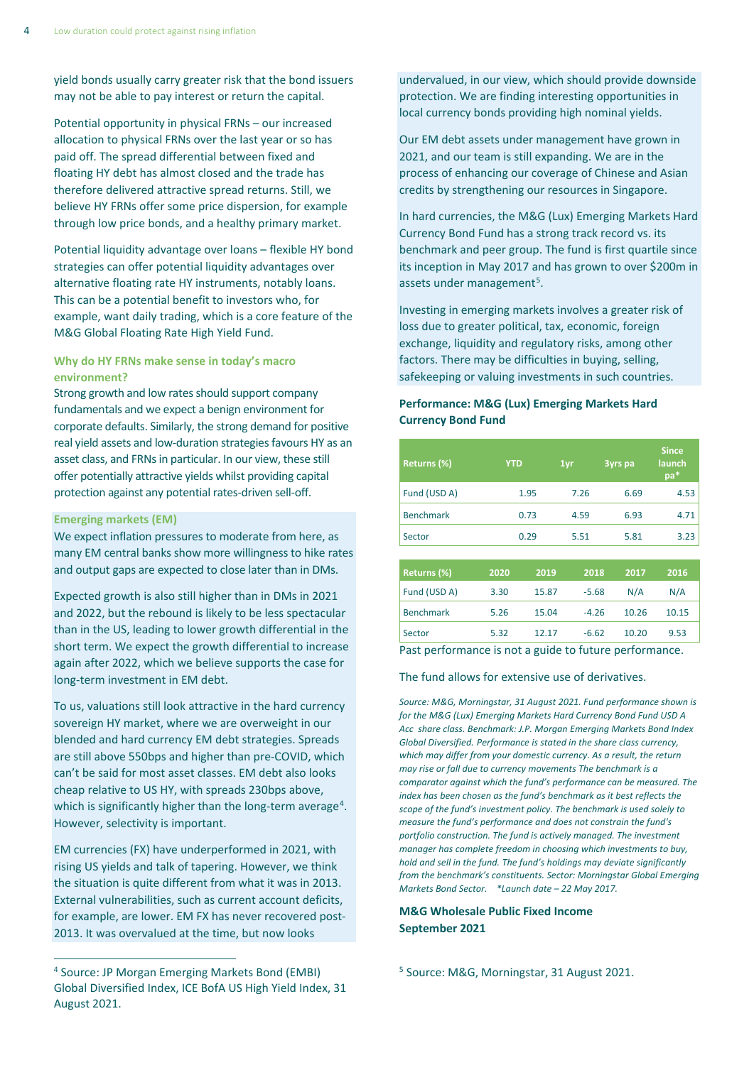yield bonds usually carry greater risk that the bond issuers may not be able to pay interest or return the capital.

Potential opportunity in physical FRNs – our increased allocation to physical FRNs over the last year or so has paid off. The spread differential between fixed and floating HY debt has almost closed and the trade has therefore delivered attractive spread returns. Still, we believe HY FRNs offer some price dispersion, for example through low price bonds, and a healthy primary market.

Potential liquidity advantage over loans – flexible HY bond strategies can offer potential liquidity advantages over alternative floating rate HY instruments, notably loans. This can be a potential benefit to investors who, for example, want daily trading, which is a core feature of the M&G Global Floating Rate High Yield Fund.

# **Why do HY FRNs make sense in today's macro environment?**

Strong growth and low rates should support company fundamentals and we expect a benign environment for corporate defaults. Similarly, the strong demand for positive real yield assets and low-duration strategies favours HY as an asset class, and FRNs in particular. In our view, these still offer potentially attractive yields whilst providing capital protection against any potential rates-driven sell-off.

### **Emerging markets (EM)**

We expect inflation pressures to moderate from here, as many EM central banks show more willingness to hike rates and output gaps are expected to close later than in DMs.

Expected growth is also still higher than in DMs in 2021 and 2022, but the rebound is likely to be less spectacular than in the US, leading to lower growth differential in the short term. We expect the growth differential to increase again after 2022, which we believe supports the case for long-term investment in EM debt.

To us, valuations still look attractive in the hard currency sovereign HY market, where we are overweight in our blended and hard currency EM debt strategies. Spreads are still above 550bps and higher than pre-COVID, which can't be said for most asset classes. EM debt also looks cheap relative to US HY, with spreads 230bps above, which is significantly higher than the long-term average<sup>[4](#page-3-0)</sup>. However, selectivity is important.

EM currencies (FX) have underperformed in 2021, with rising US yields and talk of tapering. However, we think the situation is quite different from what it was in 2013. External vulnerabilities, such as current account deficits, for example, are lower. EM FX has never recovered post-2013. It was overvalued at the time, but now looks

undervalued, in our view, which should provide downside protection. We are finding interesting opportunities in local currency bonds providing high nominal yields.

Our EM debt assets under management have grown in 2021, and our team is still expanding. We are in the process of enhancing our coverage of Chinese and Asian credits by strengthening our resources in Singapore.

In hard currencies, the M&G (Lux) Emerging Markets Hard Currency Bond Fund has a strong track record vs. its benchmark and peer group. The fund is first quartile since its inception in May 2017 and has grown to over \$200m in assets under management<sup>[5](#page-3-0)</sup>.

Investing in emerging markets involves a greater risk of loss due to greater political, tax, economic, foreign exchange, liquidity and regulatory risks, among other factors. There may be difficulties in buying, selling, safekeeping or valuing investments in such countries.

# **Performance: M&G (Lux) Emerging Markets Hard Currency Bond Fund**

| Returns (%)      | <b>YTD</b> | 1yr  | 3yrs pa | <b>Since</b><br>launch<br>pa* |
|------------------|------------|------|---------|-------------------------------|
| Fund (USD A)     | 1.95       | 7.26 | 6.69    | 4.53                          |
| <b>Benchmark</b> | 0.73       | 4.59 | 6.93    | 4.71                          |
| Sector           | 0.29       | 5.51 | 5.81    | 3.23                          |
|                  |            |      |         |                               |

| Returns (%)      | 2020 | 2019  | 2018    | 2017  | 2016  |
|------------------|------|-------|---------|-------|-------|
| Fund (USD A)     | 3.30 | 15.87 | $-5.68$ | N/A   | N/A   |
| <b>Benchmark</b> | 5.26 | 15.04 | $-4.26$ | 10.26 | 10.15 |
| Sector           | 5.32 | 12.17 | $-6.62$ | 10.20 | 9.53  |
|                  |      |       |         |       |       |

Past performance is not a guide to future performance.

#### The fund allows for extensive use of derivatives.

*Source: M&G, Morningstar, 31 August 2021. Fund performance shown is for the M&G (Lux) Emerging Markets Hard Currency Bond Fund USD A Acc share class. Benchmark: J.P. Morgan Emerging Markets Bond Index Global Diversified. Performance is stated in the share class currency, which may differ from your domestic currency. As a result, the return may rise or fall due to currency movements The benchmark is a comparator against which the fund's performance can be measured. The index has been chosen as the fund's benchmark as it best reflects the scope of the fund's investment policy. The benchmark is used solely to measure the fund's performance and does not constrain the fund's portfolio construction. The fund is actively managed. The investment manager has complete freedom in choosing which investments to buy, hold and sell in the fund. The fund's holdings may deviate significantly from the benchmark's constituents. Sector: Morningstar Global Emerging Markets Bond Sector. \*Launch date – 22 May 2017.*

# **M&G Wholesale Public Fixed Income September 2021**

<sup>5</sup> Source: M&G, Morningstar, 31 August 2021.

<span id="page-3-0"></span><sup>4</sup> Source: JP Morgan Emerging Markets Bond (EMBI) Global Diversified Index, ICE BofA US High Yield Index, 31 August 2021.